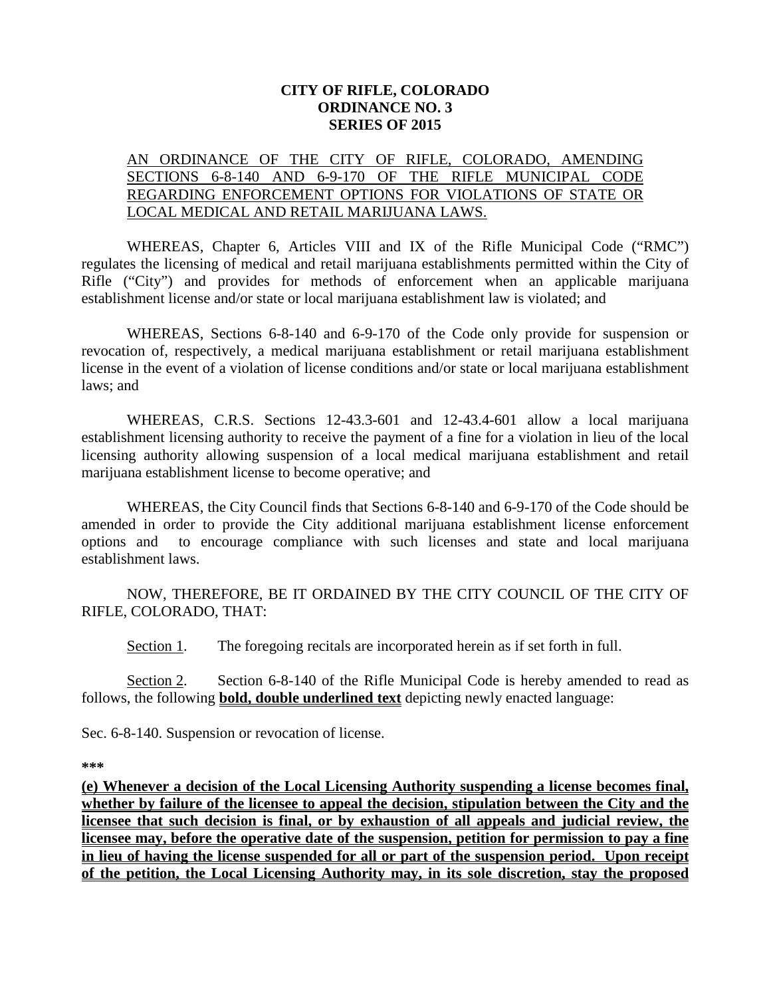## **CITY OF RIFLE, COLORADO ORDINANCE NO. 3 SERIES OF 2015**

## AN ORDINANCE OF THE CITY OF RIFLE, COLORADO, AMENDING SECTIONS 6-8-140 AND 6-9-170 OF THE RIFLE MUNICIPAL CODE REGARDING ENFORCEMENT OPTIONS FOR VIOLATIONS OF STATE OR LOCAL MEDICAL AND RETAIL MARIJUANA LAWS.

WHEREAS, Chapter 6, Articles VIII and IX of the Rifle Municipal Code ("RMC") regulates the licensing of medical and retail marijuana establishments permitted within the City of Rifle ("City") and provides for methods of enforcement when an applicable marijuana establishment license and/or state or local marijuana establishment law is violated; and

WHEREAS, Sections 6-8-140 and 6-9-170 of the Code only provide for suspension or revocation of, respectively, a medical marijuana establishment or retail marijuana establishment license in the event of a violation of license conditions and/or state or local marijuana establishment laws; and

WHEREAS, C.R.S. Sections 12-43.3-601 and 12-43.4-601 allow a local marijuana establishment licensing authority to receive the payment of a fine for a violation in lieu of the local licensing authority allowing suspension of a local medical marijuana establishment and retail marijuana establishment license to become operative; and

WHEREAS, the City Council finds that Sections 6-8-140 and 6-9-170 of the Code should be amended in order to provide the City additional marijuana establishment license enforcement options and to encourage compliance with such licenses and state and local marijuana establishment laws.

NOW, THEREFORE, BE IT ORDAINED BY THE CITY COUNCIL OF THE CITY OF RIFLE, COLORADO, THAT:

Section 1. The foregoing recitals are incorporated herein as if set forth in full.

Section 2. Section 6-8-140 of the Rifle Municipal Code is hereby amended to read as follows, the following **bold, double underlined text** depicting newly enacted language:

Sec. 6-8-140. Suspension or revocation of license.

**\*\*\***

**(e) Whenever a decision of the Local Licensing Authority suspending a license becomes final, whether by failure of the licensee to appeal the decision, stipulation between the City and the licensee that such decision is final, or by exhaustion of all appeals and judicial review, the licensee may, before the operative date of the suspension, petition for permission to pay a fine in lieu of having the license suspended for all or part of the suspension period. Upon receipt of the petition, the Local Licensing Authority may, in its sole discretion, stay the proposed**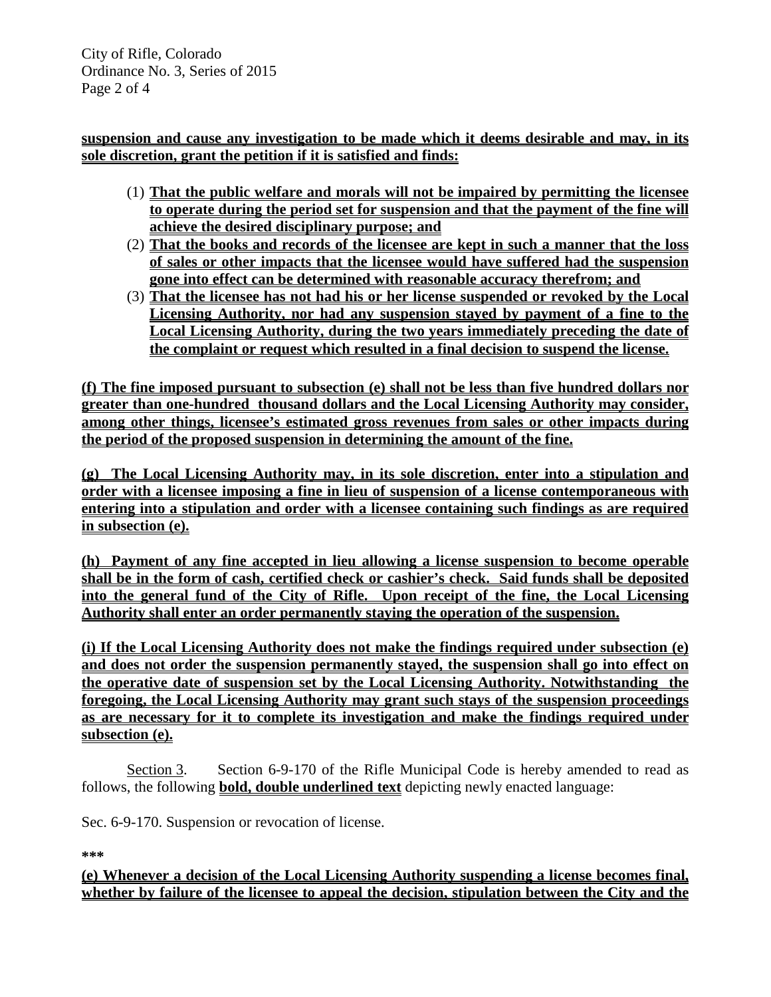City of Rifle, Colorado Ordinance No. 3, Series of 2015 Page 2 of 4

**suspension and cause any investigation to be made which it deems desirable and may, in its sole discretion, grant the petition if it is satisfied and finds:**

- (1) **That the public welfare and morals will not be impaired by permitting the licensee to operate during the period set for suspension and that the payment of the fine will achieve the desired disciplinary purpose; and**
- (2) **That the books and records of the licensee are kept in such a manner that the loss of sales or other impacts that the licensee would have suffered had the suspension gone into effect can be determined with reasonable accuracy therefrom; and**
- (3) **That the licensee has not had his or her license suspended or revoked by the Local Licensing Authority, nor had any suspension stayed by payment of a fine to the Local Licensing Authority, during the two years immediately preceding the date of the complaint or request which resulted in a final decision to suspend the license.**

**(f) The fine imposed pursuant to subsection (e) shall not be less than five hundred dollars nor greater than one-hundred thousand dollars and the Local Licensing Authority may consider, among other things, licensee's estimated gross revenues from sales or other impacts during the period of the proposed suspension in determining the amount of the fine.**

**(g) The Local Licensing Authority may, in its sole discretion, enter into a stipulation and order with a licensee imposing a fine in lieu of suspension of a license contemporaneous with entering into a stipulation and order with a licensee containing such findings as are required in subsection (e).**

**(h) Payment of any fine accepted in lieu allowing a license suspension to become operable shall be in the form of cash, certified check or cashier's check. Said funds shall be deposited into the general fund of the City of Rifle. Upon receipt of the fine, the Local Licensing Authority shall enter an order permanently staying the operation of the suspension.** 

**(i) If the Local Licensing Authority does not make the findings required under subsection (e) and does not order the suspension permanently stayed, the suspension shall go into effect on the operative date of suspension set by the Local Licensing Authority. Notwithstanding the foregoing, the Local Licensing Authority may grant such stays of the suspension proceedings as are necessary for it to complete its investigation and make the findings required under subsection (e).**

Section 3. Section 6-9-170 of the Rifle Municipal Code is hereby amended to read as follows, the following **bold, double underlined text** depicting newly enacted language:

Sec. 6-9-170. Suspension or revocation of license.

**\*\*\***

**(e) Whenever a decision of the Local Licensing Authority suspending a license becomes final, whether by failure of the licensee to appeal the decision, stipulation between the City and the**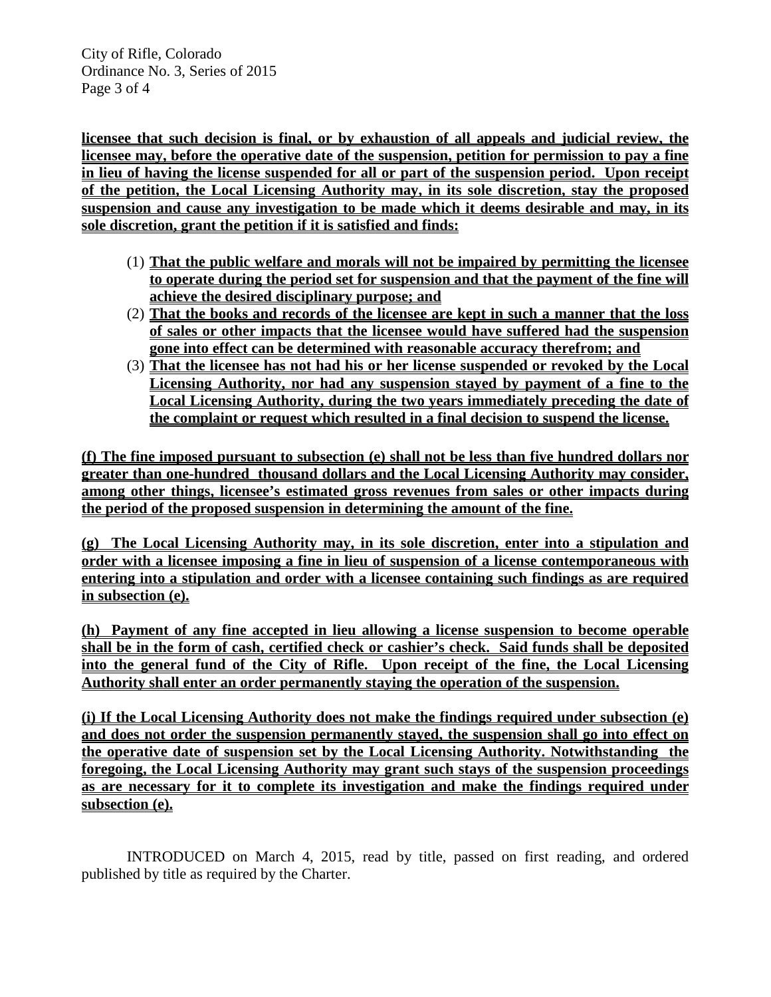City of Rifle, Colorado Ordinance No. 3, Series of 2015 Page 3 of 4

**licensee that such decision is final, or by exhaustion of all appeals and judicial review, the licensee may, before the operative date of the suspension, petition for permission to pay a fine in lieu of having the license suspended for all or part of the suspension period. Upon receipt of the petition, the Local Licensing Authority may, in its sole discretion, stay the proposed suspension and cause any investigation to be made which it deems desirable and may, in its sole discretion, grant the petition if it is satisfied and finds:**

- (1) **That the public welfare and morals will not be impaired by permitting the licensee to operate during the period set for suspension and that the payment of the fine will achieve the desired disciplinary purpose; and**
- (2) **That the books and records of the licensee are kept in such a manner that the loss of sales or other impacts that the licensee would have suffered had the suspension gone into effect can be determined with reasonable accuracy therefrom; and**
- (3) **That the licensee has not had his or her license suspended or revoked by the Local Licensing Authority, nor had any suspension stayed by payment of a fine to the Local Licensing Authority, during the two years immediately preceding the date of the complaint or request which resulted in a final decision to suspend the license.**

**(f) The fine imposed pursuant to subsection (e) shall not be less than five hundred dollars nor greater than one-hundred thousand dollars and the Local Licensing Authority may consider, among other things, licensee's estimated gross revenues from sales or other impacts during the period of the proposed suspension in determining the amount of the fine.**

**(g) The Local Licensing Authority may, in its sole discretion, enter into a stipulation and order with a licensee imposing a fine in lieu of suspension of a license contemporaneous with entering into a stipulation and order with a licensee containing such findings as are required in subsection (e).**

**(h) Payment of any fine accepted in lieu allowing a license suspension to become operable shall be in the form of cash, certified check or cashier's check. Said funds shall be deposited into the general fund of the City of Rifle. Upon receipt of the fine, the Local Licensing Authority shall enter an order permanently staying the operation of the suspension.** 

**(i) If the Local Licensing Authority does not make the findings required under subsection (e) and does not order the suspension permanently stayed, the suspension shall go into effect on the operative date of suspension set by the Local Licensing Authority. Notwithstanding the foregoing, the Local Licensing Authority may grant such stays of the suspension proceedings as are necessary for it to complete its investigation and make the findings required under subsection (e).**

INTRODUCED on March 4, 2015, read by title, passed on first reading, and ordered published by title as required by the Charter.